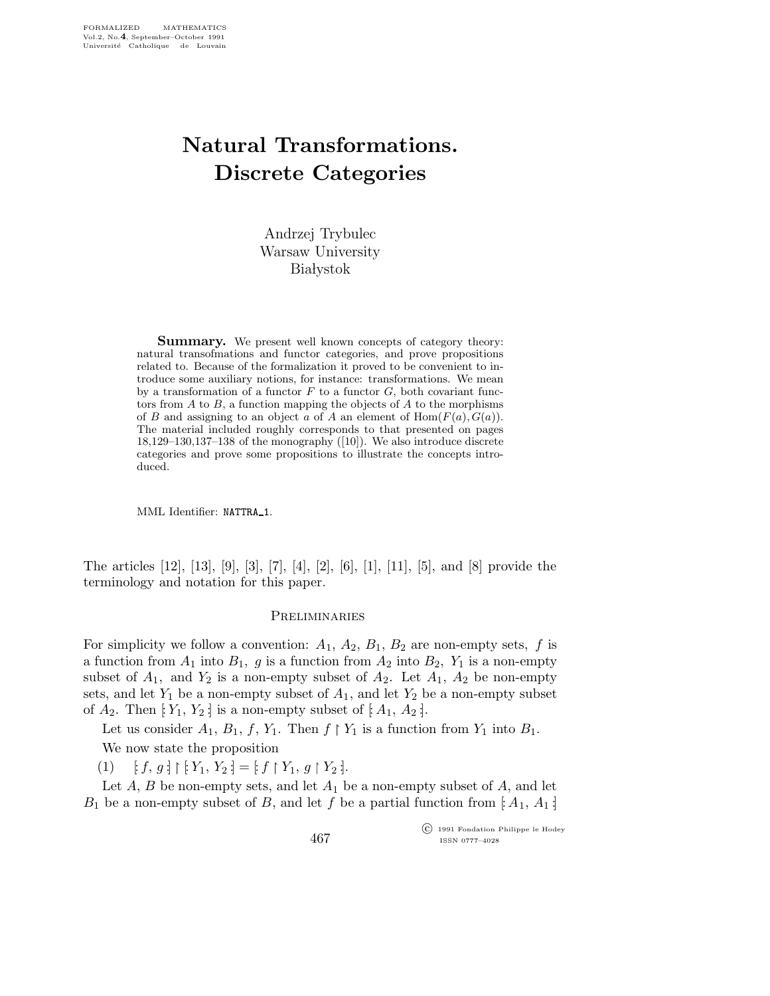# Natural Transformations. Discrete Categories

Andrzej Trybulec Warsaw University **Białystok** 

**Summary.** We present well known concepts of category theory: natural transofmations and functor categories, and prove propositions related to. Because of the formalization it proved to be convenient to introduce some auxiliary notions, for instance: transformations. We mean by a transformation of a functor  $F$  to a functor  $G$ , both covariant functors from  $A$  to  $B$ , a function mapping the objects of  $A$  to the morphisms of B and assigning to an object a of A an element of  $\text{Hom}(F(a),G(a))$ . The material included roughly corresponds to that presented on pages 18,129–130,137–138 of the monography ([10]). We also introduce discrete categories and prove some propositions to illustrate the concepts introduced.

MML Identifier: NATTRA 1.

The articles [12], [13], [9], [3], [7], [4], [2], [6], [1], [11], [5], and [8] provide the terminology and notation for this paper.

#### **PRELIMINARIES**

For simplicity we follow a convention:  $A_1$ ,  $A_2$ ,  $B_1$ ,  $B_2$  are non-empty sets, f is a function from  $A_1$  into  $B_1$ , g is a function from  $A_2$  into  $B_2$ ,  $Y_1$  is a non-empty subset of  $A_1$ , and  $Y_2$  is a non-empty subset of  $A_2$ . Let  $A_1$ ,  $A_2$  be non-empty sets, and let  $Y_1$  be a non-empty subset of  $A_1$ , and let  $Y_2$  be a non-empty subset of  $A_2$ . Then  $[Y_1, Y_2]$  is a non-empty subset of  $[A_1, A_2]$ .

Let us consider  $A_1$ ,  $B_1$ ,  $f$ ,  $Y_1$ . Then  $f \restriction Y_1$  is a function from  $Y_1$  into  $B_1$ . We now state the proposition

(1)  $[f, g] \upharpoonright [Y_1, Y_2] = [f \upharpoonright Y_1, g \upharpoonright Y_2].$ 

Let  $A$ ,  $B$  be non-empty sets, and let  $A_1$  be a non-empty subset of  $A$ , and let  $B_1$  be a non-empty subset of B, and let f be a partial function from [ $A_1, A_1$ ]

467

 c 1991 Fondation Philippe le Hodey ISSN 0777–4028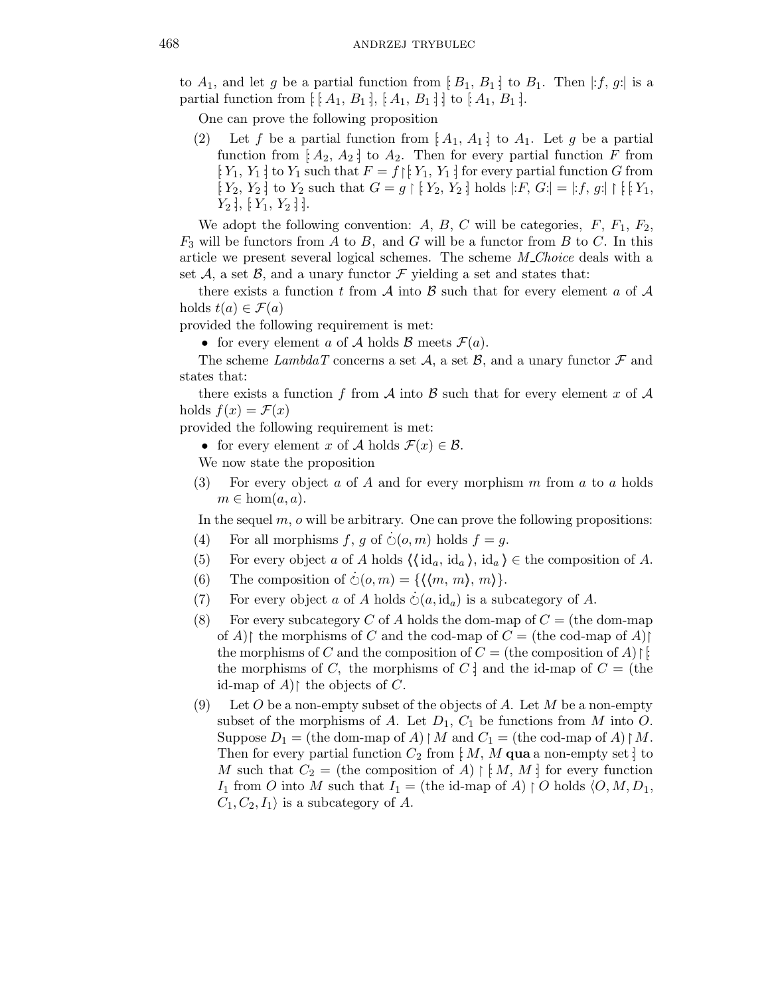to  $A_1$ , and let g be a partial function from [ $B_1, B_1$ ] to  $B_1$ . Then  $|: f, g:$  is a partial function from  $\colon [A_1, B_1], [A_1, B_1]$ ; to  $[A_1, B_1]$ .

One can prove the following proposition

(2) Let f be a partial function from  $[A_1, A_1]$  to  $A_1$ . Let g be a partial function from  $[A_2, A_2]$  to  $A_2$ . Then for every partial function F from [ $Y_1, Y_1$ ] to  $Y_1$  such that  $F = f \mid [Y_1, Y_1]$  for every partial function G from  $[Y_2, Y_2]$  to  $Y_2$  such that  $G = g \upharpoonright [Y_2, Y_2]$  holds  $|:F, G:| = |:f, g:| \upharpoonright [Y_1,$  $Y_2$  :  $[Y_1, Y_2]$  :

We adopt the following convention: A, B, C will be categories,  $F$ ,  $F_1$ ,  $F_2$ ,  $F_3$  will be functors from A to B, and G will be a functor from B to C. In this article we present several logical schemes. The scheme M\_Choice deals with a set A, a set B, and a unary functor F yielding a set and states that:

there exists a function t from A into B such that for every element a of A holds  $t(a) \in \mathcal{F}(a)$ 

provided the following requirement is met:

• for every element a of A holds B meets  $\mathcal{F}(a)$ .

The scheme LambdaT concerns a set A, a set B, and a unary functor  $\mathcal F$  and states that:

there exists a function f from A into B such that for every element x of A holds  $f(x) = \mathcal{F}(x)$ 

provided the following requirement is met:

• for every element x of A holds  $\mathcal{F}(x) \in \mathcal{B}$ .

We now state the proposition

(3) For every object a of A and for every morphism  $m$  from  $a$  to  $a$  holds  $m \in \text{hom}(a, a)$ .

In the sequel  $m$ ,  $\sigma$  will be arbitrary. One can prove the following propositions:

- (4) For all morphisms f, g of  $\dot{\circ}$  ( $o, m$ ) holds  $f = g$ .
- (5) For every object a of A holds  $\langle \langle id_a, id_a \rangle, id_a \rangle \in \text{the composition of } A$ .
- (6) The composition of  $\dot{\circ}(o,m) = \{\langle \langle m, m \rangle, m \rangle\}.$
- (7) For every object a of A holds  $\dot{\circ}(a, \mathrm{id}_a)$  is a subcategory of A.
- (8) For every subcategory C of A holds the dom-map of  $C =$  (the dom-map) of A) the morphisms of C and the cod-map of  $C =$  (the cod-map of A) the morphisms of C and the composition of  $C =$  (the composition of A)  $\upharpoonright$ . the morphisms of C, the morphisms of C : and the id-map of  $C =$  (the id-map of  $A$ ) the objects of C.
- (9) Let O be a non-empty subset of the objects of A. Let M be a non-empty subset of the morphisms of A. Let  $D_1$ ,  $C_1$  be functions from M into O. Suppose  $D_1 =$  (the dom-map of A)  $\restriction M$  and  $C_1 =$  (the cod-map of A)  $\restriction M$ . Then for every partial function  $C_2$  from [: M, M qua a non-empty set ] to M such that  $C_2 =$  (the composition of A)  $\restriction M, M$  : for every function I<sub>1</sub> from O into M such that  $I_1$  = (the id-map of A)  $\restriction$  O holds  $\langle O, M, D_1, \rbrace$  $C_1, C_2, I_1$  is a subcategory of A.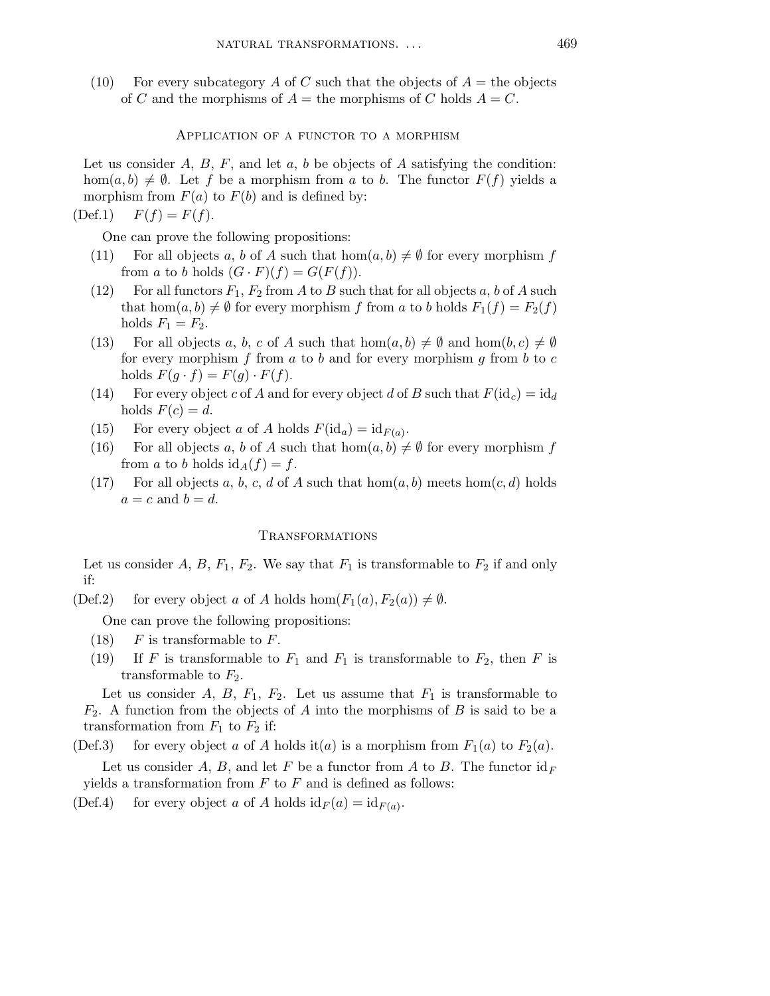(10) For every subcategory A of C such that the objects of  $A =$  the objects of C and the morphisms of  $A =$  the morphisms of C holds  $A = C$ .

Application of a functor to a morphism

Let us consider  $A, B, F$ , and let  $a, b$  be objects of  $A$  satisfying the condition: hom $(a,b) \neq \emptyset$ . Let f be a morphism from a to b. The functor  $F(f)$  yields a morphism from  $F(a)$  to  $F(b)$  and is defined by:

(Def.1)  $F(f) = F(f)$ .

One can prove the following propositions:

- (11) For all objects a, b of A such that  $hom(a, b) \neq \emptyset$  for every morphism f from a to b holds  $(G \cdot F)(f) = G(F(f)).$
- (12) For all functors  $F_1, F_2$  from A to B such that for all objects a, b of A such that hom $(a,b) \neq \emptyset$  for every morphism f from a to b holds  $F_1(f) = F_2(f)$ holds  $F_1 = F_2$ .
- (13) For all objects a, b, c of A such that  $hom(a, b) \neq \emptyset$  and  $hom(b, c) \neq \emptyset$ for every morphism  $f$  from  $a$  to  $b$  and for every morphism  $g$  from  $b$  to  $c$ holds  $F(g \cdot f) = F(g) \cdot F(f)$ .
- (14) For every object c of A and for every object d of B such that  $F(\mathrm{id}_c) = \mathrm{id}_d$ holds  $F(c) = d$ .
- (15) For every object a of A holds  $F(\mathrm{id}_a) = \mathrm{id}_{F(a)}$ .
- (16) For all objects a, b of A such that  $hom(a, b) \neq \emptyset$  for every morphism f from a to b holds  $id_A(f) = f$ .
- (17) For all objects a, b, c, d of A such that  $hom(a, b)$  meets  $hom(c, d)$  holds  $a = c$  and  $b = d$ .

#### Transformations

Let us consider A, B,  $F_1$ ,  $F_2$ . We say that  $F_1$  is transformable to  $F_2$  if and only if:

(Def.2) for every object a of A holds hom $(F_1(a), F_2(a)) \neq \emptyset$ .

One can prove the following propositions:

- $(18)$  F is transformable to F.
- (19) If F is transformable to  $F_1$  and  $F_1$  is transformable to  $F_2$ , then F is transformable to  $F_2$ .

Let us consider A, B,  $F_1$ ,  $F_2$ . Let us assume that  $F_1$  is transformable to  $F_2$ . A function from the objects of A into the morphisms of B is said to be a transformation from  $F_1$  to  $F_2$  if:

(Def.3) for every object a of A holds it(a) is a morphism from  $F_1(a)$  to  $F_2(a)$ .

Let us consider A, B, and let F be a functor from A to B. The functor  $id_F$ yields a transformation from  $F$  to  $F$  and is defined as follows:

(Def.4) for every object a of A holds  $id_F(a) = id_{F(a)}$ .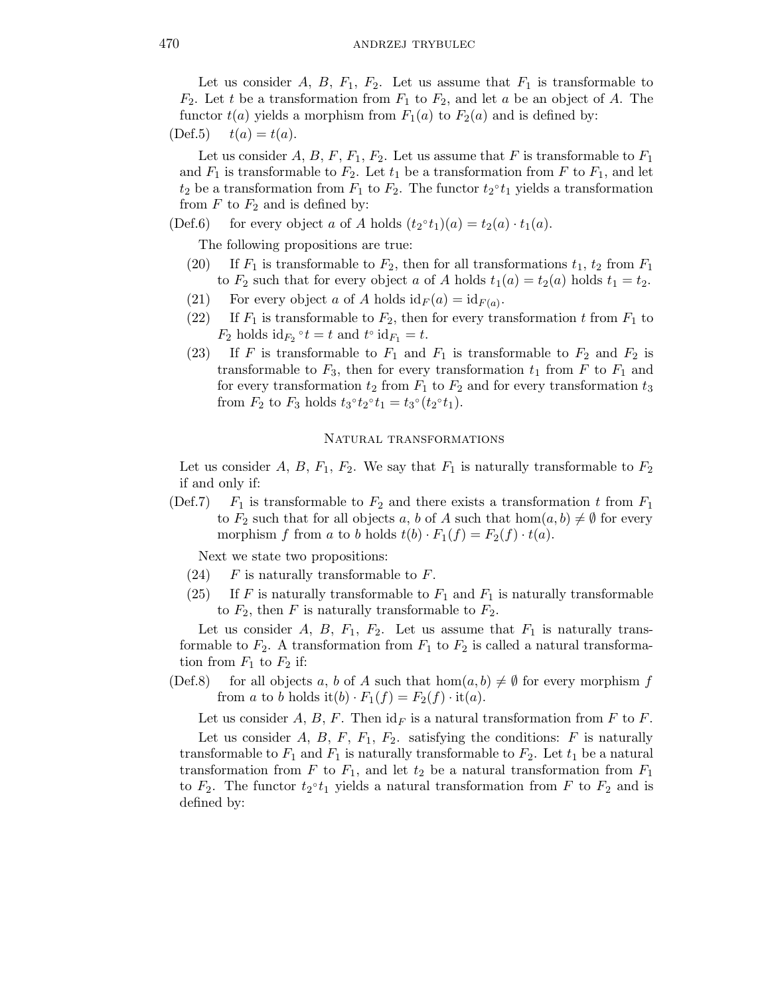Let us consider A, B,  $F_1$ ,  $F_2$ . Let us assume that  $F_1$  is transformable to  $F_2$ . Let t be a transformation from  $F_1$  to  $F_2$ , and let a be an object of A. The functor  $t(a)$  yields a morphism from  $F_1(a)$  to  $F_2(a)$  and is defined by:

 $(Def.5) \t t(a) = t(a).$ 

Let us consider A, B, F,  $F_1$ ,  $F_2$ . Let us assume that F is transformable to  $F_1$ and  $F_1$  is transformable to  $F_2$ . Let  $t_1$  be a transformation from F to  $F_1$ , and let  $t_2$  be a transformation from  $F_1$  to  $F_2$ . The functor  $t_2^{\circ}t_1$  yields a transformation from  $F$  to  $F_2$  and is defined by:

(Def.6) for every object a of A holds  $(t_2 \circ t_1)(a) = t_2(a) \cdot t_1(a)$ .

The following propositions are true:

- (20) If  $F_1$  is transformable to  $F_2$ , then for all transformations  $t_1$ ,  $t_2$  from  $F_1$ to  $F_2$  such that for every object a of A holds  $t_1(a) = t_2(a)$  holds  $t_1 = t_2$ .
- (21) For every object a of A holds  $id_F(a) = id_{F(a)}$ .
- (22) If  $F_1$  is transformable to  $F_2$ , then for every transformation t from  $F_1$  to  $F_2$  holds  $\mathrm{id}_{F_2} \circ t = t$  and  $t^{\circ} \mathrm{id}_{F_1} = t$ .
- (23) If F is transformable to  $F_1$  and  $F_1$  is transformable to  $F_2$  and  $F_2$  is transformable to  $F_3$ , then for every transformation  $t_1$  from F to  $F_1$  and for every transformation  $t_2$  from  $F_1$  to  $F_2$  and for every transformation  $t_3$ from  $F_2$  to  $F_3$  holds  $t_3^{\circ} t_2^{\circ} t_1 = t_3^{\circ} (t_2^{\circ} t_1)$ .

# Natural transformations

Let us consider A, B,  $F_1$ ,  $F_2$ . We say that  $F_1$  is naturally transformable to  $F_2$ if and only if:

(Def.7)  $F_1$  is transformable to  $F_2$  and there exists a transformation t from  $F_1$ to  $F_2$  such that for all objects a, b of A such that  $hom(a, b) \neq \emptyset$  for every morphism f from a to b holds  $t(b) \cdot F_1(f) = F_2(f) \cdot t(a)$ .

Next we state two propositions:

- $(24)$  F is naturally transformable to F.
- (25) If F is naturally transformable to  $F_1$  and  $F_1$  is naturally transformable to  $F_2$ , then F is naturally transformable to  $F_2$ .

Let us consider A, B,  $F_1$ ,  $F_2$ . Let us assume that  $F_1$  is naturally transformable to  $F_2$ . A transformation from  $F_1$  to  $F_2$  is called a natural transformation from  $F_1$  to  $F_2$  if:

(Def.8) for all objects a, b of A such that  $hom(a, b) \neq \emptyset$  for every morphism f from a to b holds it(b)  $\cdot F_1(f) = F_2(f) \cdot it(a)$ .

Let us consider A, B, F. Then  $id_F$  is a natural transformation from F to F. Let us consider A, B, F,  $F_1$ ,  $F_2$ . satisfying the conditions: F is naturally transformable to  $F_1$  and  $F_1$  is naturally transformable to  $F_2$ . Let  $t_1$  be a natural transformation from F to  $F_1$ , and let  $t_2$  be a natural transformation from  $F_1$ to  $F_2$ . The functor  $t_2 \circ t_1$  yields a natural transformation from F to  $F_2$  and is defined by: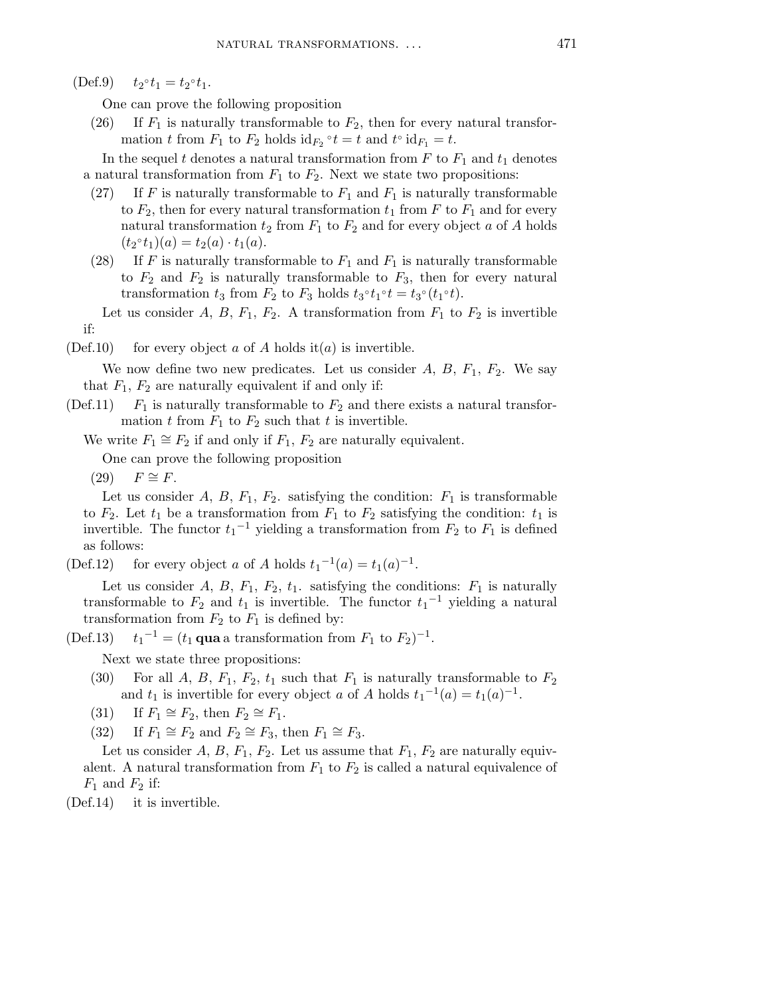$(Def.9)$  $\circ t_1 = t_2 \circ t_1.$ 

One can prove the following proposition

(26) If  $F_1$  is naturally transformable to  $F_2$ , then for every natural transformation t from  $F_1$  to  $F_2$  holds  $id_{F_2} \circ t = t$  and  $t \circ id_{F_1} = t$ .

In the sequel t denotes a natural transformation from  $F$  to  $F_1$  and  $t_1$  denotes a natural transformation from  $F_1$  to  $F_2$ . Next we state two propositions:

- (27) If F is naturally transformable to  $F_1$  and  $F_1$  is naturally transformable to  $F_2$ , then for every natural transformation  $t_1$  from F to  $F_1$  and for every natural transformation  $t_2$  from  $F_1$  to  $F_2$  and for every object a of A holds  $(t_2 \circ t_1)(a) = t_2(a) \cdot t_1(a).$
- (28) If F is naturally transformable to  $F_1$  and  $F_1$  is naturally transformable to  $F_2$  and  $F_2$  is naturally transformable to  $F_3$ , then for every natural transformation  $t_3$  from  $F_2$  to  $F_3$  holds  $t_3 \circ t_1 \circ t = t_3 \circ (t_1 \circ t)$ .

Let us consider A, B,  $F_1$ ,  $F_2$ . A transformation from  $F_1$  to  $F_2$  is invertible if:

(Def.10) for every object a of A holds it (a) is invertible.

We now define two new predicates. Let us consider  $A, B, F_1, F_2$ . We say that  $F_1, F_2$  are naturally equivalent if and only if:

- (Def.11)  $F_1$  is naturally transformable to  $F_2$  and there exists a natural transformation t from  $F_1$  to  $F_2$  such that t is invertible.
	- We write  $F_1 \cong F_2$  if and only if  $F_1, F_2$  are naturally equivalent.

One can prove the following proposition

 $(29)$   $F \cong F$ .

Let us consider A, B,  $F_1$ ,  $F_2$ . satisfying the condition:  $F_1$  is transformable to  $F_2$ . Let  $t_1$  be a transformation from  $F_1$  to  $F_2$  satisfying the condition:  $t_1$  is invertible. The functor  $t_1$ <sup>-1</sup> yielding a transformation from  $F_2$  to  $F_1$  is defined as follows:

(Def.12) for every object a of A holds  $t_1^{-1}(a) = t_1(a)^{-1}$ .

Let us consider A, B,  $F_1$ ,  $F_2$ ,  $t_1$ . satisfying the conditions:  $F_1$  is naturally transformable to  $F_2$  and  $t_1$  is invertible. The functor  $t_1^{-1}$  yielding a natural transformation from  $F_2$  to  $F_1$  is defined by:

 $(Def.13)$  $^{-1} = (t_1 \text{ qua a transformation from } F_1 \text{ to } F_2)^{-1}.$ 

Next we state three propositions:

- (30) For all A, B,  $F_1$ ,  $F_2$ ,  $t_1$  such that  $F_1$  is naturally transformable to  $F_2$ and  $t_1$  is invertible for every object a of A holds  $t_1^{-1}(a) = t_1(a)^{-1}$ .
- (31) If  $F_1 \cong F_2$ , then  $F_2 \cong F_1$ .
- (32) If  $F_1 \cong F_2$  and  $F_2 \cong F_3$ , then  $F_1 \cong F_3$ .

Let us consider A, B,  $F_1$ ,  $F_2$ . Let us assume that  $F_1$ ,  $F_2$  are naturally equivalent. A natural transformation from  $F_1$  to  $F_2$  is called a natural equivalence of  $F_1$  and  $F_2$  if:

(Def.14) it is invertible.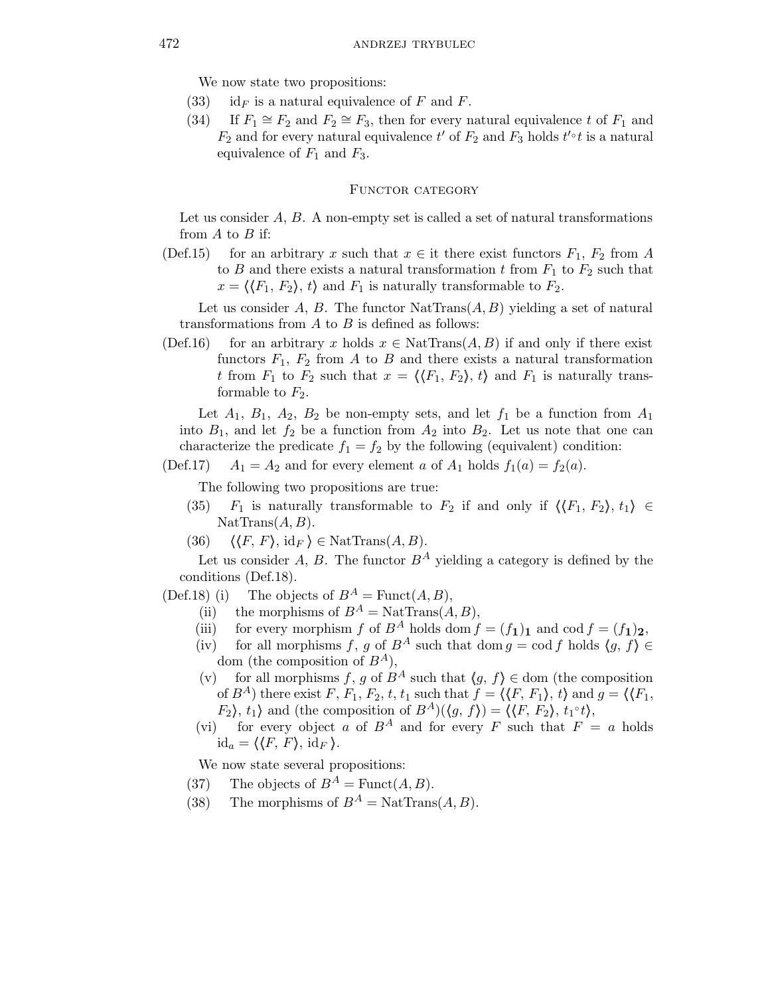We now state two propositions:

- (33) id<sub>F</sub> is a natural equivalence of F and F.
- (34) If  $F_1 \cong F_2$  and  $F_2 \cong F_3$ , then for every natural equivalence t of  $F_1$  and  $F_2$  and for every natural equivalence t' of  $F_2$  and  $F_3$  holds t'<sup>o</sup>t is a natural equivalence of  $F_1$  and  $F_3$ .

# FUNCTOR CATEGORY

Let us consider  $A, B$ . A non-empty set is called a set of natural transformations from  $A$  to  $B$  if:

(Def.15) for an arbitrary x such that  $x \in \text{it there exist functors } F_1, F_2 \text{ from } A$ to B and there exists a natural transformation t from  $F_1$  to  $F_2$  such that  $x = \langle \langle F_1, F_2 \rangle, t \rangle$  and  $F_1$  is naturally transformable to  $F_2$ .

Let us consider A, B. The functor  $\text{NatTrans}(A, B)$  yielding a set of natural transformations from  $A$  to  $B$  is defined as follows:

(Def.16) for an arbitrary x holds  $x \in \text{NatTrans}(A, B)$  if and only if there exist functors  $F_1$ ,  $F_2$  from A to B and there exists a natural transformation t from  $F_1$  to  $F_2$  such that  $x = \langle \langle F_1, F_2 \rangle, t \rangle$  and  $F_1$  is naturally transformable to  $F_2$ .

Let  $A_1$ ,  $B_1$ ,  $A_2$ ,  $B_2$  be non-empty sets, and let  $f_1$  be a function from  $A_1$ into  $B_1$ , and let  $f_2$  be a function from  $A_2$  into  $B_2$ . Let us note that one can characterize the predicate  $f_1 = f_2$  by the following (equivalent) condition:

(Def.17)  $A_1 = A_2$  and for every element a of  $A_1$  holds  $f_1(a) = f_2(a)$ .

The following two propositions are true:

- (35)  $F_1$  is naturally transformable to  $F_2$  if and only if  $\langle F_1, F_2 \rangle, t_1 \rangle \in$  $\text{NatTrans}(A, B)$ .
- (36)  $\langle \langle F, F \rangle, \mathrm{id}_F \rangle \in \mathrm{NatTrans}(A,B).$

Let us consider A, B. The functor  $B^A$  yielding a category is defined by the conditions (Def.18).

(Def.18) (i) The objects of  $B^A = \text{Funct}(A, B)$ ,

- (ii) the morphisms of  $B^A = \text{NatTrans}(A, B)$ ,
- (iii) for every morphism f of  $B^A$  holds dom  $f = (f_1)_1$  and cod  $f = (f_1)_2$ ,
- (iv) for all morphisms f, g of  $B^A$  such that dom  $g = \text{cod } f$  holds  $\langle g, f \rangle \in$ dom (the composition of  $B^A$ ),
- (v) for all morphisms f, g of  $B^A$  such that  $\langle g, f \rangle \in$  dom (the composition of  $B^A$ ) there exist F,  $F_1$ ,  $F_2$ , t,  $t_1$  such that  $f = \langle \langle F, F_1 \rangle, t \rangle$  and  $g = \langle \langle F_1, F_2 \rangle, t \rangle$  $F_2$ ,  $t_1$  and (the composition of  $B^A$ )( $\langle g, f \rangle$ ) =  $\langle \langle F, F_2 \rangle, t_1 \circ t \rangle$ ,
- (vi) for every object a of  $B^A$  and for every F such that  $F = a$  holds  $id_a = \langle \langle F, F \rangle, id_F \rangle.$

We now state several propositions:

- (37) The objects of  $B^A$  = Funct $(A, B)$ .
- (38) The morphisms of  $B^A = \text{NatTrans}(A, B)$ .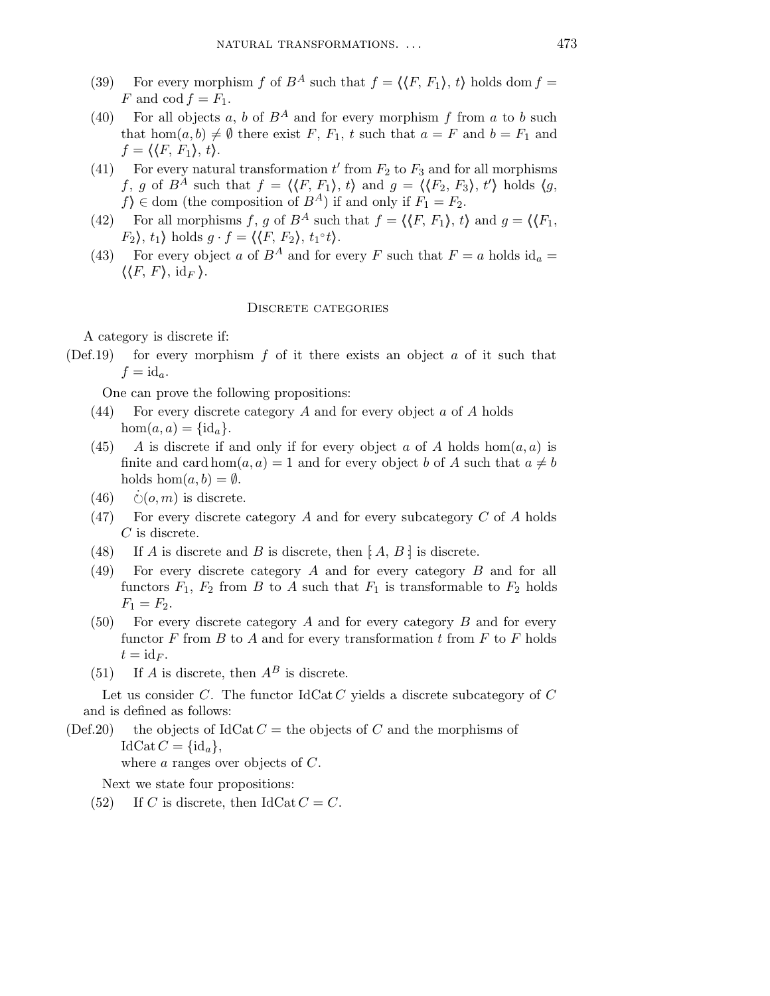- (39) For every morphism f of  $B^A$  such that  $f = \langle \langle F, F_1 \rangle, t \rangle$  holds dom  $f =$ F and cod  $f = F_1$ .
- (40) For all objects a, b of  $B^A$  and for every morphism f from a to b such that hom $(a, b) \neq \emptyset$  there exist F,  $F_1$ , t such that  $a = F$  and  $b = F_1$  and  $f = \langle \langle F, F_1 \rangle, t \rangle.$
- (41) For every natural transformation  $t'$  from  $F_2$  to  $F_3$  and for all morphisms f, g of  $B^{\tilde{A}}$  such that  $f = \langle \langle F, F_1 \rangle, t \rangle$  and  $g = \langle \langle F_2, F_3 \rangle, t' \rangle$  holds  $\langle g,$  $f$  ∈ dom (the composition of  $B^A$ ) if and only if  $F_1 = F_2$ .
- (42) For all morphisms f, g of  $B^A$  such that  $f = \langle \langle F, F_1 \rangle, t \rangle$  and  $g = \langle \langle F_1, F_2 \rangle, t \rangle$  $F_2$ ,  $t_1$  holds  $g \cdot f = \langle \langle F, F_2 \rangle, t_1 \circ t \rangle$ .
- (43) For every object a of  $B^A$  and for every F such that  $F = a$  holds id<sub>a</sub> =  $\langle\langle F, F\rangle, \mathrm{id}_F\rangle.$

# DISCRETE CATEGORIES

A category is discrete if:

- (Def.19) for every morphism f of it there exists an object a of it such that  $f = id_a.$ 
	- One can prove the following propositions:
	- $(44)$  For every discrete category A and for every object a of A holds  $hom(a, a) = \{id_a\}.$
	- (45) A is discrete if and only if for every object a of A holds  $hom(a, a)$  is finite and card hom $(a, a) = 1$  and for every object b of A such that  $a \neq b$ holds  $hom(a, b) = \emptyset$ .
	- $(46)$  $\dot{\mathcal{O}}(o,m)$  is discrete.
	- (47) For every discrete category A and for every subcategory  $C$  of A holds C is discrete.
	- (48) If A is discrete and B is discrete, then  $[A, B]$  is discrete.
	- (49) For every discrete category A and for every category B and for all functors  $F_1$ ,  $F_2$  from B to A such that  $F_1$  is transformable to  $F_2$  holds  $F_1 = F_2.$
	- (50) For every discrete category A and for every category B and for every functor  $F$  from  $B$  to  $A$  and for every transformation  $t$  from  $F$  to  $F$  holds  $t = \mathrm{id}_F$ .
	- (51) If A is discrete, then  $A^B$  is discrete.

Let us consider C. The functor  $IdCat C$  yields a discrete subcategory of  $C$ and is defined as follows:

(Def.20) the objects of IdCat  $C =$  the objects of C and the morphisms of  $IdCat C = {id_a},$ 

where a ranges over objects of C.

Next we state four propositions:

(52) If C is discrete, then IdCat  $C = C$ .